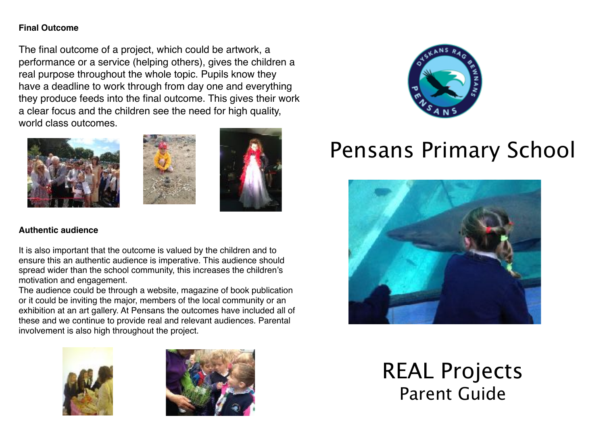#### **Final Outcome**

The final outcome of a project, which could be artwork, a performance or a service (helping others), gives the children a real purpose throughout the whole topic. Pupils know they have a deadline to work through from day one and everything they produce feeds into the final outcome. This gives their work a clear focus and the children see the need for high quality, world class outcomes.







#### **Authentic audience**

It is also important that the outcome is valued by the children and to ensure this an authentic audience is imperative. This audience should spread wider than the school community, this increases the children's motivation and engagement.

The audience could be through a website, magazine of book publication or it could be inviting the major, members of the local community or an exhibition at an art gallery. At Pensans the outcomes have included all of these and we continue to provide real and relevant audiences. Parental involvement is also high throughout the project.







# Pensans Primary School



REAL Projects Parent Guide